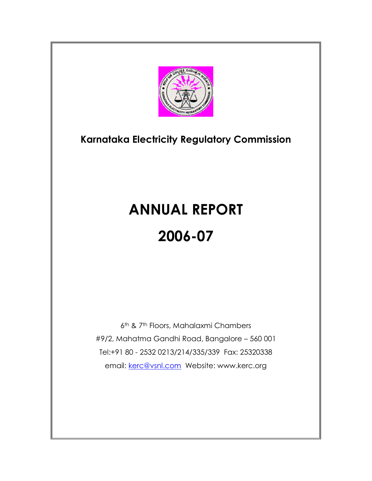

# **Karnataka Electricity Regulatory Commission**

# **ANNUAL REPORT 2006-07**

6th & 7th Floors, Mahalaxmi Chambers #9/2, Mahatma Gandhi Road, Bangalore – 560 001 Tel:+91 80 - 2532 0213/214/335/339 Fax: 25320338 email: [kerc@vsnl.com](mailto:kerc@vsnl.com) Website: www.kerc.org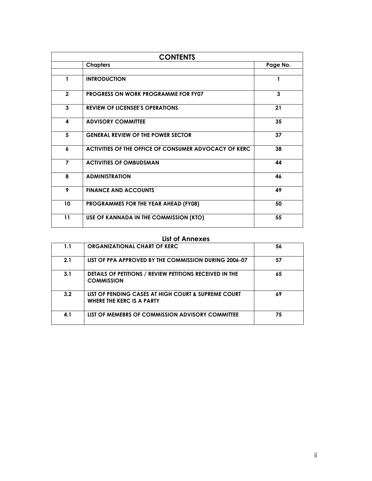| <b>CONTENTS</b> |                                                       |          |
|-----------------|-------------------------------------------------------|----------|
|                 | <b>Chapters</b>                                       | Page No. |
|                 |                                                       |          |
| 1               | <b>INTRODUCTION</b>                                   |          |
| $\overline{2}$  | <b>PROGRESS ON WORK PROGRAMME FOR FY07</b>            | 3        |
| 3               | <b>REVIEW OF LICENSEE'S OPERATIONS</b>                | 21       |
| 4               | <b>ADVISORY COMMITTEE</b>                             | 35       |
| 5               | <b>GENERAL REVIEW OF THE POWER SECTOR</b>             | 37       |
| 6               | ACTIVITIES OF THE OFFICE OF CONSUMER ADVOCACY OF KERC | 38       |
| $\overline{7}$  | <b>ACTIVITIES OF OMBUDSMAN</b>                        | 44       |
| 8               | <b>ADMINISTRATION</b>                                 | 46       |
| 9               | <b>FINANCE AND ACCOUNTS</b>                           | 49       |
| 10              | PROGRAMMES FOR THE YEAR AHEAD (FY08)                  | 50       |
| 11              | USE OF KANNADA IN THE COMMISSION (KTO)                | 55       |

#### **List of Annexes**

| 1.1 | <b>ORGANIZATIONAL CHART OF KERC</b>                                              | 56 |
|-----|----------------------------------------------------------------------------------|----|
| 2.1 | LIST OF PPA APPROVED BY THE COMMISSION DURING 2006-07                            | 57 |
| 3.1 | DETAILS OF PETITIONS / REVIEW PETITIONS RECEIVED IN THE<br><b>COMMISSION</b>     | 65 |
| 3.2 | LIST OF PENDING CASES AT HIGH COURT & SUPREME COURT<br>WHERE THE KERC IS A PARTY | 69 |
| 4.1 | LIST OF MEMEBRS OF COMMISSION ADVISORY COMMITTEE                                 | 75 |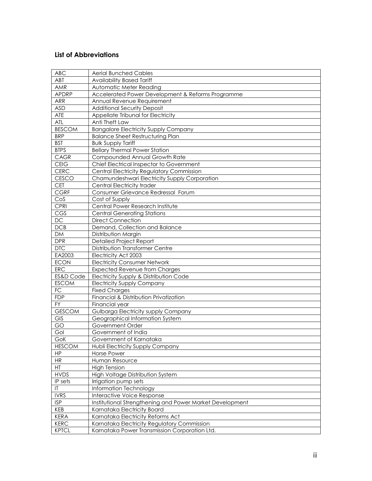## **List of Abbreviations**

| <b>ABC</b>             | <b>Aerial Bunched Cables</b>                             |
|------------------------|----------------------------------------------------------|
| ABT                    | <b>Availability Based Tariff</b>                         |
| AMR                    | Automatic Meter Reading                                  |
| <b>APDRP</b>           | Accelerated Power Development & Reforms Programme        |
| <b>ARR</b>             | Annual Revenue Requirement                               |
| <b>ASD</b>             | <b>Additional Security Deposit</b>                       |
| ATE                    | Appellate Tribunal for Electricity                       |
| ATL                    | Anti Theft Law                                           |
| <b>BESCOM</b>          | <b>Bangalore Electricity Supply Company</b>              |
| <b>BRP</b>             | <b>Balance Sheet Restructuring Plan</b>                  |
| <b>BST</b>             | <b>Bulk Supply Tariff</b>                                |
| <b>BTPS</b>            | <b>Bellary Thermal Power Station</b>                     |
| CAGR                   | Compounded Annual Growth Rate                            |
| <b>CEIG</b>            | Chief Electrical Inspector to Government                 |
| CERC                   | <b>Central Electricity Regulatory Commission</b>         |
| <b>CESCO</b>           | Chamundeshwari Electricity Supply Corporation            |
| <b>CET</b>             | Central Electricity trader                               |
| <b>CGRF</b>            | Consumer Grievance Redressal Forum                       |
| CoS                    | Cost of Supply                                           |
| <b>CPRI</b>            | Central Power Research Institute                         |
| $\overline{\text{CS}}$ | <b>Central Generating Stations</b>                       |
| DC                     | <b>Direct Connection</b>                                 |
| DCB                    | Demand, Collection and Balance                           |
| <b>DM</b>              | Distribution Margin                                      |
| <b>DPR</b>             | <b>Detailed Project Report</b>                           |
| <b>DTC</b>             | Distribution Transformer Centre                          |
| EA2003                 | Electricity Act 2003                                     |
| <b>ECON</b>            | <b>Electricity Consumer Network</b>                      |
| ERC                    | <b>Expected Revenue from Charges</b>                     |
| ES&D Code              | Electricity Supply & Distribution Code                   |
| <b>ESCOM</b>           | <b>Electricity Supply Company</b>                        |
| FC                     | <b>Fixed Charges</b>                                     |
| <b>FDP</b>             | Financial & Distribution Privatization                   |
| $\overline{YY}$        | Financial year                                           |
| <b>GESCOM</b>          | Gulbarga Electricity supply Company                      |
| <b>GIS</b>             | Geographical Information System                          |
| GO                     | Government Order                                         |
| Gol                    | Government of India                                      |
| GoK                    | Government of Karnataka                                  |
| <b>HESCOM</b>          | Hubli Electricity Supply Company                         |
| <b>HP</b>              | <b>Horse Power</b>                                       |
| HR                     | Human Resource                                           |
| HT                     | <b>High Tension</b>                                      |
| <b>HVDS</b>            | High Voltage Distribution System                         |
| IP sets                | Irrigation pump sets                                     |
| IT                     | Information Technology                                   |
| <b>IVRS</b>            | Interactive Voice Response                               |
| <b>ISP</b>             | Institutional Strengthening and Power Market Development |
| <b>KEB</b>             | Karnataka Electricity Board                              |
| <b>KERA</b>            | Karnataka Electricity Reforms Act                        |
| <b>KERC</b>            | Karnataka Electricity Regulatory Commission              |
| <b>KPTCL</b>           | Karnataka Power Transmission Corporation Ltd.            |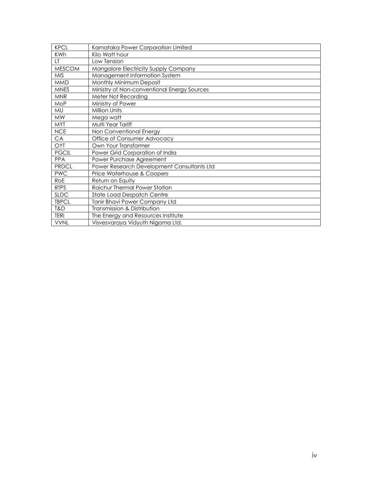| <b>KPCL</b>   | Karnataka Power Corporation Limited         |
|---------------|---------------------------------------------|
| <b>KWh</b>    | Kilo Watt hour                              |
| LT.           | Low Tension                                 |
| <b>MESCOM</b> | Mangalore Electricity Supply Company        |
| <b>MIS</b>    | Management Information System               |
| <b>MMD</b>    | Monthly Minimum Deposit                     |
| <b>MNES</b>   | Ministry of Non-conventional Energy Sources |
| <b>MNR</b>    | Meter Not Recording                         |
| <b>MoP</b>    | Ministry of Power                           |
| MU            | Million Units                               |
| <b>MW</b>     | Mega watt                                   |
| <b>MYT</b>    | Multi Year Tariff                           |
| <b>NCE</b>    | Non Conventional Energy                     |
| CA            | Office of Consumer Advocacy                 |
| OYT           | Own Your Transformer                        |
| <b>PGCIL</b>  | Power Grid Corporation of India             |
| <b>PPA</b>    | Power Purchase Agreement                    |
| <b>PRDCL</b>  | Power Research Development Consultants Ltd  |
| <b>PWC</b>    | Price Waterhouse & Coopers                  |
| RoE           | Return on Equity                            |
| <b>RTPS</b>   | Raichur Thermal Power Station               |
| <b>SLDC</b>   | State Load Despatch Centre                  |
| <b>TBPCL</b>  | Tanir Bhavi Power Company Ltd               |
| T&D           | Transmission & Distribution                 |
| <b>TERI</b>   | The Energy and Resources Institute          |
| <b>VVNL</b>   | Visvesvaraya Vidyuth Nigama Ltd.            |